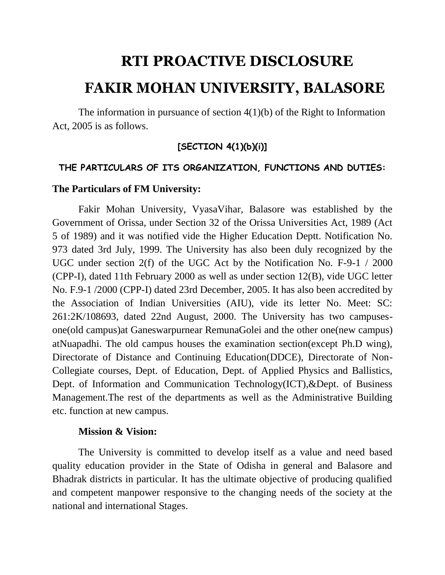# **RTI PROACTIVE DISCLOSURE FAKIR MOHAN UNIVERSITY, BALASORE**

The information in pursuance of section  $4(1)(b)$  of the Right to Information Act, 2005 is as follows.

### **[SECTION 4(1)(b)(i)]**

#### **THE PARTICULARS OF ITS ORGANIZATION, FUNCTIONS AND DUTIES:**

#### **The Particulars of FM University:**

Fakir Mohan University, VyasaVihar, Balasore was established by the Government of Orissa, under Section 32 of the Orissa Universities Act, 1989 (Act 5 of 1989) and it was notified vide the Higher Education Deptt. Notification No. 973 dated 3rd July, 1999. The University has also been duly recognized by the UGC under section 2(f) of the UGC Act by the Notification No. F-9-1 / 2000 (CPP-I), dated 11th February 2000 as well as under section 12(B), vide UGC letter No. F.9-1 /2000 (CPP-I) dated 23rd December, 2005. It has also been accredited by the Association of Indian Universities (AIU), vide its letter No. Meet: SC: 261:2K/108693, dated 22nd August, 2000. The University has two campusesone(old campus)at Ganeswarpurnear RemunaGolei and the other one(new campus) atNuapadhi. The old campus houses the examination section(except Ph.D wing), Directorate of Distance and Continuing Education(DDCE), Directorate of Non-Collegiate courses, Dept. of Education, Dept. of Applied Physics and Ballistics, Dept. of Information and Communication Technology(ICT),&Dept. of Business Management.The rest of the departments as well as the Administrative Building etc. function at new campus.

#### **Mission & Vision:**

The University is committed to develop itself as a value and need based quality education provider in the State of Odisha in general and Balasore and Bhadrak districts in particular. It has the ultimate objective of producing qualified and competent manpower responsive to the changing needs of the society at the national and international Stages.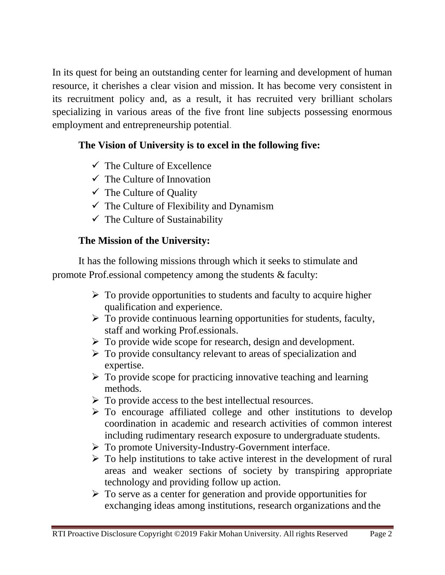In its quest for being an outstanding center for learning and development of human resource, it cherishes a clear vision and mission. It has become very consistent in its recruitment policy and, as a result, it has recruited very brilliant scholars specializing in various areas of the five front line subjects possessing enormous employment and entrepreneurship potential.

# **The Vision of University is to excel in the following five:**

- $\checkmark$  The Culture of Excellence
- $\checkmark$  The Culture of Innovation
- $\checkmark$  The Culture of Quality
- $\checkmark$  The Culture of Flexibility and Dynamism
- $\checkmark$  The Culture of Sustainability

# **The Mission of the University:**

It has the following missions through which it seeks to stimulate and promote Prof.essional competency among the students & faculty:

- $\triangleright$  To provide opportunities to students and faculty to acquire higher qualification and experience.
- $\triangleright$  To provide continuous learning opportunities for students, faculty, staff and working Prof.essionals.
- $\triangleright$  To provide wide scope for research, design and development.
- $\triangleright$  To provide consultancy relevant to areas of specialization and expertise.
- $\triangleright$  To provide scope for practicing innovative teaching and learning methods.
- $\triangleright$  To provide access to the best intellectual resources.
- $\triangleright$  To encourage affiliated college and other institutions to develop coordination in academic and research activities of common interest including rudimentary research exposure to undergraduate students.
- $\triangleright$  To promote University-Industry-Government interface.
- $\triangleright$  To help institutions to take active interest in the development of rural areas and weaker sections of society by transpiring appropriate technology and providing follow up action.
- $\triangleright$  To serve as a center for generation and provide opportunities for exchanging ideas among institutions, research organizations and the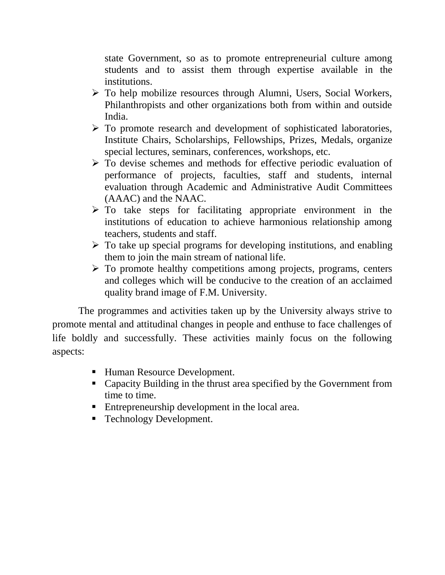state Government, so as to promote entrepreneurial culture among students and to assist them through expertise available in the institutions.

- To help mobilize resources through Alumni, Users, Social Workers, Philanthropists and other organizations both from within and outside India.
- $\triangleright$  To promote research and development of sophisticated laboratories, Institute Chairs, Scholarships, Fellowships, Prizes, Medals, organize special lectures, seminars, conferences, workshops, etc.
- $\triangleright$  To devise schemes and methods for effective periodic evaluation of performance of projects, faculties, staff and students, internal evaluation through Academic and Administrative Audit Committees (AAAC) and the NAAC.
- $\triangleright$  To take steps for facilitating appropriate environment in the institutions of education to achieve harmonious relationship among teachers, students and staff.
- $\triangleright$  To take up special programs for developing institutions, and enabling them to join the main stream of national life.
- $\triangleright$  To promote healthy competitions among projects, programs, centers and colleges which will be conducive to the creation of an acclaimed quality brand image of F.M. University.

The programmes and activities taken up by the University always strive to promote mental and attitudinal changes in people and enthuse to face challenges of life boldly and successfully. These activities mainly focus on the following aspects:

- Human Resource Development.
- Capacity Building in the thrust area specified by the Government from time to time.
- Entrepreneurship development in the local area.
- **Technology Development.**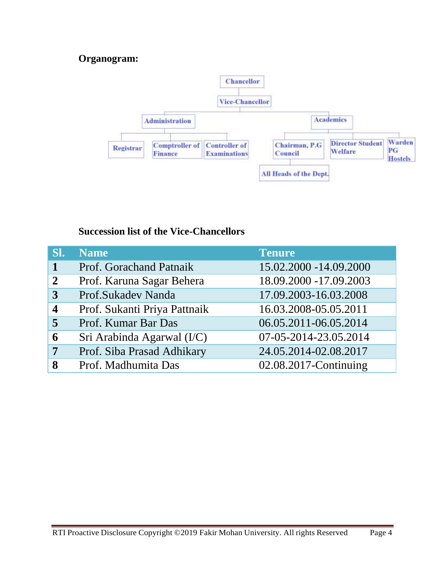### **Organogram:**



### **Succession list of the Vice-Chancellors**

| SI.                     | <b>Name</b>                  | <b>Tenure</b>          |
|-------------------------|------------------------------|------------------------|
|                         | Prof. Gorachand Patnaik      | 15.02.2000 -14.09.2000 |
| $\mathbf{2}$            | Prof. Karuna Sagar Behera    | 18.09.2000 -17.09.2003 |
| 3                       | Prof.Sukadev Nanda           | 17.09.2003-16.03.2008  |
| $\overline{\mathbf{4}}$ | Prof. Sukanti Priya Pattnaik | 16.03.2008-05.05.2011  |
| 5                       | Prof. Kumar Bar Das          | 06.05.2011-06.05.2014  |
| 6                       | Sri Arabinda Agarwal (I/C)   | 07-05-2014-23.05.2014  |
| 7                       | Prof. Siba Prasad Adhikary   | 24.05.2014-02.08.2017  |
| 8                       | Prof. Madhumita Das          | 02.08.2017-Continuing  |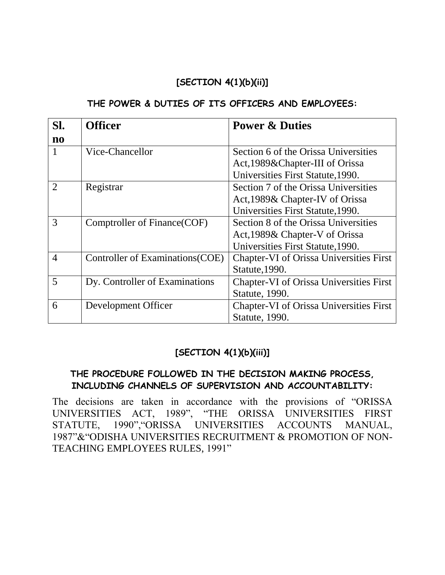### **[SECTION 4(1)(b)(ii)]**

#### **THE POWER & DUTIES OF ITS OFFICERS AND EMPLOYEES:**

| SI.                    | <b>Officer</b>                   | <b>Power &amp; Duties</b>                      |
|------------------------|----------------------------------|------------------------------------------------|
| $\mathbf{n}\mathbf{o}$ |                                  |                                                |
|                        | Vice-Chancellor                  | Section 6 of the Orissa Universities           |
|                        |                                  | Act, 1989& Chapter-III of Orissa               |
|                        |                                  | Universities First Statute, 1990.              |
| $\overline{2}$         | Registrar                        | Section 7 of the Orissa Universities           |
|                        |                                  | Act, 1989& Chapter-IV of Orissa                |
|                        |                                  | Universities First Statute, 1990.              |
| 3                      | Comptroller of Finance (COF)     | Section 8 of the Orissa Universities           |
|                        |                                  | Act, 1989& Chapter-V of Orissa                 |
|                        |                                  | Universities First Statute, 1990.              |
| $\overline{4}$         | Controller of Examinations (COE) | <b>Chapter-VI</b> of Orissa Universities First |
|                        |                                  | Statute, 1990.                                 |
| 5                      | Dy. Controller of Examinations   | Chapter-VI of Orissa Universities First        |
|                        |                                  | Statute, 1990.                                 |
| 6                      | Development Officer              | <b>Chapter-VI</b> of Orissa Universities First |
|                        |                                  | Statute, 1990.                                 |

### **[SECTION 4(1)(b)(iii)]**

### **THE PROCEDURE FOLLOWED IN THE DECISION MAKING PROCESS, INCLUDING CHANNELS OF SUPERVISION AND ACCOUNTABILITY:**

The decisions are taken in accordance with the provisions of "ORISSA UNIVERSITIES ACT, 1989", "THE ORISSA UNIVERSITIES FIRST STATUTE, 1990","ORISSA UNIVERSITIES ACCOUNTS MANUAL, 1987"&"ODISHA UNIVERSITIES RECRUITMENT & PROMOTION OF NON-TEACHING EMPLOYEES RULES, 1991"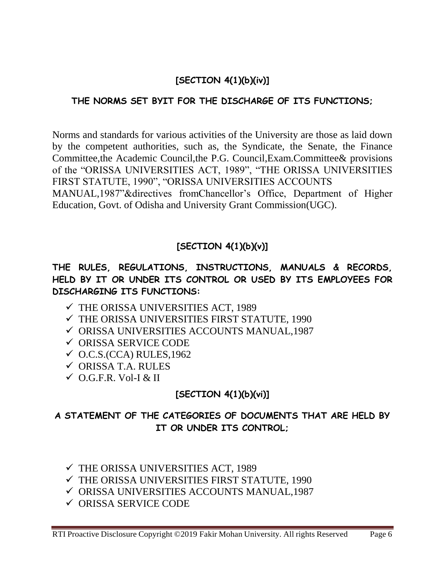# **[SECTION 4(1)(b)(iv)]**

### **THE NORMS SET BYIT FOR THE DISCHARGE OF ITS FUNCTIONS;**

Norms and standards for various activities of the University are those as laid down by the competent authorities, such as, the Syndicate, the Senate, the Finance Committee,the Academic Council,the P.G. Council,Exam.Committee& provisions of the "ORISSA UNIVERSITIES ACT, 1989", "THE ORISSA UNIVERSITIES FIRST STATUTE, 1990", "ORISSA UNIVERSITIES ACCOUNTS MANUAL,1987"&directives fromChancellor's Office, Department of Higher Education, Govt. of Odisha and University Grant Commission(UGC).

# **[SECTION 4(1)(b)(v)]**

### **THE RULES, REGULATIONS, INSTRUCTIONS, MANUALS & RECORDS, HELD BY IT OR UNDER ITS CONTROL OR USED BY ITS EMPLOYEES FOR DISCHARGING ITS FUNCTIONS:**

- THE ORISSA UNIVERSITIES ACT, 1989
- THE ORISSA UNIVERSITIES FIRST STATUTE, 1990
- ORISSA UNIVERSITIES ACCOUNTS MANUAL,1987
- ORISSA SERVICE CODE
- $\checkmark$  O.C.S.(CCA) RULES, 1962
- $\checkmark$  ORISSA T.A. RULES
- $\checkmark$  O.G.F.R. Vol-I & II

# **[SECTION 4(1)(b)(vi)]**

### **A STATEMENT OF THE CATEGORIES OF DOCUMENTS THAT ARE HELD BY IT OR UNDER ITS CONTROL;**

- THE ORISSA UNIVERSITIES ACT, 1989
- THE ORISSA UNIVERSITIES FIRST STATUTE, 1990
- ORISSA UNIVERSITIES ACCOUNTS MANUAL,1987
- ORISSA SERVICE CODE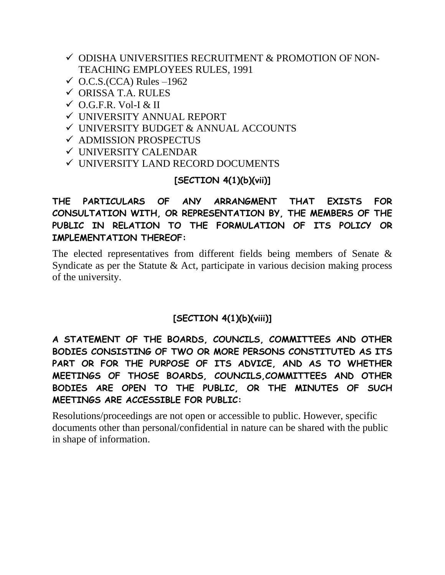- $\checkmark$  ODISHA UNIVERSITIES RECRUITMENT & PROMOTION OF NON-TEACHING EMPLOYEES RULES, 1991
- $\checkmark$  O.C.S.(CCA) Rules –1962
- $\checkmark$  ORISSA T.A. RULES
- $\checkmark$  O.G.F.R. Vol-I & II
- UNIVERSITY ANNUAL REPORT
- UNIVERSITY BUDGET & ANNUAL ACCOUNTS
- $\checkmark$  ADMISSION PROSPECTUS
- UNIVERSITY CALENDAR
- UNIVERSITY LAND RECORD DOCUMENTS

### **[SECTION 4(1)(b)(vii)]**

### **THE PARTICULARS OF ANY ARRANGMENT THAT EXISTS FOR CONSULTATION WITH, OR REPRESENTATION BY, THE MEMBERS OF THE PUBLIC IN RELATION TO THE FORMULATION OF ITS POLICY OR IMPLEMENTATION THEREOF:**

The elected representatives from different fields being members of Senate & Syndicate as per the Statute & Act, participate in various decision making process of the university.

# **[SECTION 4(1)(b)(viii)]**

**A STATEMENT OF THE BOARDS, COUNCILS, COMMITTEES AND OTHER BODIES CONSISTING OF TWO OR MORE PERSONS CONSTITUTED AS ITS PART OR FOR THE PURPOSE OF ITS ADVICE, AND AS TO WHETHER MEETINGS OF THOSE BOARDS, COUNCILS,COMMITTEES AND OTHER BODIES ARE OPEN TO THE PUBLIC, OR THE MINUTES OF SUCH MEETINGS ARE ACCESSIBLE FOR PUBLIC:**

Resolutions/proceedings are not open or accessible to public. However, specific documents other than personal/confidential in nature can be shared with the public in shape of information.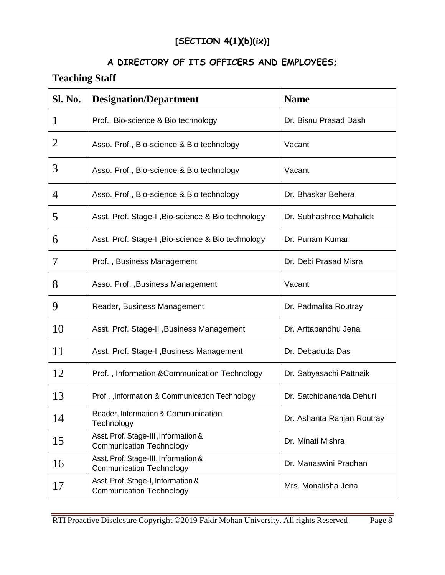# **[SECTION 4(1)(b)(ix)]**

# **A DIRECTORY OF ITS OFFICERS AND EMPLOYEES;**

# **Teaching Staff**

| <b>Sl. No.</b> | <b>Designation/Department</b>                                           | <b>Name</b>                |
|----------------|-------------------------------------------------------------------------|----------------------------|
|                | Prof., Bio-science & Bio technology                                     | Dr. Bisnu Prasad Dash      |
| 2              | Asso. Prof., Bio-science & Bio technology                               | Vacant                     |
| 3              | Asso. Prof., Bio-science & Bio technology                               | Vacant                     |
| 4              | Asso. Prof., Bio-science & Bio technology                               | Dr. Bhaskar Behera         |
| 5              | Asst. Prof. Stage-I, Bio-science & Bio technology                       | Dr. Subhashree Mahalick    |
| 6              | Asst. Prof. Stage-I, Bio-science & Bio technology                       | Dr. Punam Kumari           |
| 7              | Prof., Business Management                                              | Dr. Debi Prasad Misra      |
| 8              | Asso. Prof., Business Management                                        | Vacant                     |
| 9              | Reader, Business Management                                             | Dr. Padmalita Routray      |
| 10             | Asst. Prof. Stage-II, Business Management                               | Dr. Arttabandhu Jena       |
| 11             | Asst. Prof. Stage-I, Business Management                                | Dr. Debadutta Das          |
| 12             | Prof., Information & Communication Technology                           | Dr. Sabyasachi Pattnaik    |
| 13             | Prof., , Information & Communication Technology                         | Dr. Satchidananda Dehuri   |
| 14             | Reader, Information & Communication<br>Technology                       | Dr. Ashanta Ranjan Routray |
| 15             | Asst. Prof. Stage-III, Information &<br><b>Communication Technology</b> | Dr. Minati Mishra          |
| 16             | Asst. Prof. Stage-III, Information &<br><b>Communication Technology</b> | Dr. Manaswini Pradhan      |
| 17             | Asst. Prof. Stage-I, Information &<br><b>Communication Technology</b>   | Mrs. Monalisha Jena        |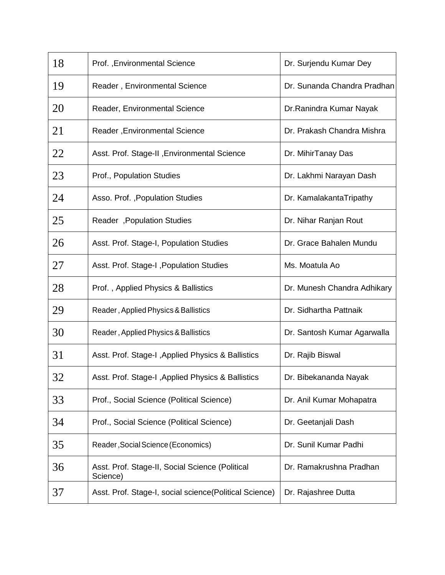| 18 | Prof., Environmental Science                                | Dr. Surjendu Kumar Dey      |
|----|-------------------------------------------------------------|-----------------------------|
| 19 | Reader, Environmental Science                               | Dr. Sunanda Chandra Pradhan |
| 20 | Reader, Environmental Science                               | Dr. Ranindra Kumar Nayak    |
| 21 | Reader, Environmental Science                               | Dr. Prakash Chandra Mishra  |
| 22 | Asst. Prof. Stage-II, Environmental Science                 | Dr. MihirTanay Das          |
| 23 | Prof., Population Studies                                   | Dr. Lakhmi Narayan Dash     |
| 24 | Asso. Prof., Population Studies                             | Dr. KamalakantaTripathy     |
| 25 | Reader, Population Studies                                  | Dr. Nihar Ranjan Rout       |
| 26 | Asst. Prof. Stage-I, Population Studies                     | Dr. Grace Bahalen Mundu     |
| 27 | Asst. Prof. Stage-I, Population Studies                     | Ms. Moatula Ao              |
| 28 | Prof., Applied Physics & Ballistics                         | Dr. Munesh Chandra Adhikary |
| 29 | Reader, Applied Physics & Ballistics                        | Dr. Sidhartha Pattnaik      |
| 30 | Reader, Applied Physics & Ballistics                        | Dr. Santosh Kumar Agarwalla |
| 31 | Asst. Prof. Stage-I, Applied Physics & Ballistics           | Dr. Rajib Biswal            |
| 32 | Asst. Prof. Stage-I , Applied Physics & Ballistics          | Dr. Bibekananda Nayak       |
| 33 | Prof., Social Science (Political Science)                   | Dr. Anil Kumar Mohapatra    |
| 34 | Prof., Social Science (Political Science)                   | Dr. Geetanjali Dash         |
| 35 | Reader, Social Science (Economics)                          | Dr. Sunil Kumar Padhi       |
| 36 | Asst. Prof. Stage-II, Social Science (Political<br>Science) | Dr. Ramakrushna Pradhan     |
| 37 | Asst. Prof. Stage-I, social science(Political Science)      | Dr. Rajashree Dutta         |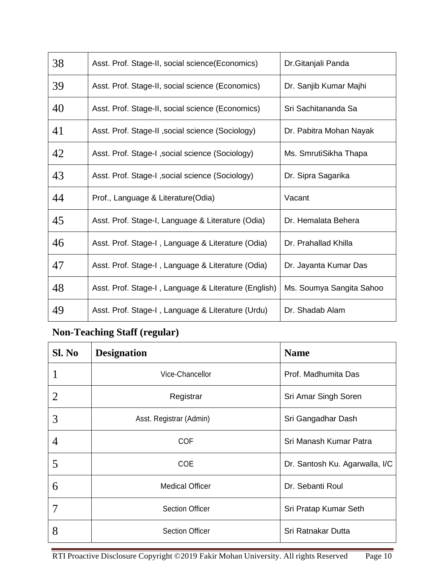| 38 | Asst. Prof. Stage-II, social science (Economics)     | Dr. Gitanjali Panda      |
|----|------------------------------------------------------|--------------------------|
| 39 | Asst. Prof. Stage-II, social science (Economics)     | Dr. Sanjib Kumar Majhi   |
| 40 | Asst. Prof. Stage-II, social science (Economics)     | Sri Sachitananda Sa      |
| 41 | Asst. Prof. Stage-II , social science (Sociology)    | Dr. Pabitra Mohan Nayak  |
| 42 | Asst. Prof. Stage-I, social science (Sociology)      | Ms. SmrutiSikha Thapa    |
| 43 | Asst. Prof. Stage-I, social science (Sociology)      | Dr. Sipra Sagarika       |
| 44 | Prof., Language & Literature(Odia)                   | Vacant                   |
| 45 | Asst. Prof. Stage-I, Language & Literature (Odia)    | Dr. Hemalata Behera      |
| 46 | Asst. Prof. Stage-I, Language & Literature (Odia)    | Dr. Prahallad Khilla     |
| 47 | Asst. Prof. Stage-I, Language & Literature (Odia)    | Dr. Jayanta Kumar Das    |
| 48 | Asst. Prof. Stage-I, Language & Literature (English) | Ms. Soumya Sangita Sahoo |
| 49 | Asst. Prof. Stage-I, Language & Literature (Urdu)    | Dr. Shadab Alam          |

# **Non-Teaching Staff (regular)**

| Sl. No         | <b>Designation</b>      | <b>Name</b>                    |
|----------------|-------------------------|--------------------------------|
|                | Vice-Chancellor         | Prof. Madhumita Das            |
| $\overline{2}$ | Registrar               | Sri Amar Singh Soren           |
| 3              | Asst. Registrar (Admin) | Sri Gangadhar Dash             |
| 4              | <b>COF</b>              | Sri Manash Kumar Patra         |
| 5              | <b>COE</b>              | Dr. Santosh Ku. Agarwalla, I/C |
| 6              | <b>Medical Officer</b>  | Dr. Sebanti Roul               |
| 7              | <b>Section Officer</b>  | Sri Pratap Kumar Seth          |
| 8              | <b>Section Officer</b>  | Sri Ratnakar Dutta             |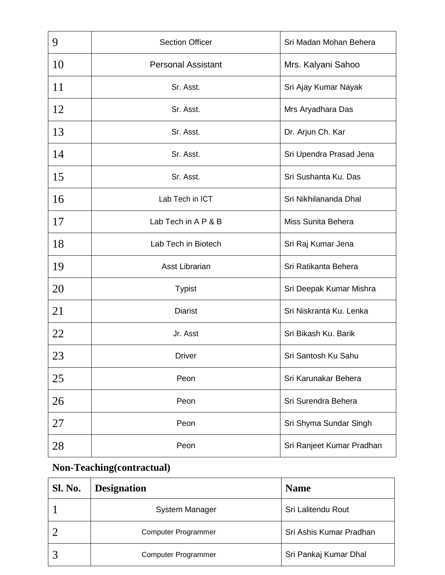| 9  | <b>Section Officer</b>    | Sri Madan Mohan Behera    |
|----|---------------------------|---------------------------|
| 10 | <b>Personal Assistant</b> | Mrs. Kalyani Sahoo        |
| 11 | Sr. Asst.                 | Sri Ajay Kumar Nayak      |
| 12 | Sr. Asst.                 | Mrs Aryadhara Das         |
| 13 | Sr. Asst.                 | Dr. Arjun Ch. Kar         |
| 14 | Sr. Asst.                 | Sri Upendra Prasad Jena   |
| 15 | Sr. Asst.                 | Sri Sushanta Ku. Das      |
| 16 | Lab Tech in ICT           | Sri Nikhilananda Dhal     |
| 17 | Lab Tech in A P & B       | Miss Sunita Behera        |
| 18 | Lab Tech in Biotech       | Sri Raj Kumar Jena        |
| 19 | Asst Librarian            | Sri Ratikanta Behera      |
| 20 | <b>Typist</b>             | Sri Deepak Kumar Mishra   |
| 21 | <b>Diarist</b>            | Sri Niskranta Ku. Lenka   |
| 22 | Jr. Asst                  | Sri Bikash Ku. Barik      |
| 23 | <b>Driver</b>             | Sri Santosh Ku Sahu       |
| 25 | Peon                      | Sri Karunakar Behera      |
| 26 | Peon                      | Sri Surendra Behera       |
| 27 | Peon                      | Sri Shyma Sundar Singh    |
| 28 | Peon                      | Sri Ranjeet Kumar Pradhan |

# **Non-Teaching(contractual)**

| <b>Sl. No.</b> | <b>Designation</b>         | <b>Name</b>             |
|----------------|----------------------------|-------------------------|
|                | <b>System Manager</b>      | Sri Lalitendu Rout      |
|                | <b>Computer Programmer</b> | Sri Ashis Kumar Pradhan |
|                | <b>Computer Programmer</b> | Sri Pankaj Kumar Dhal   |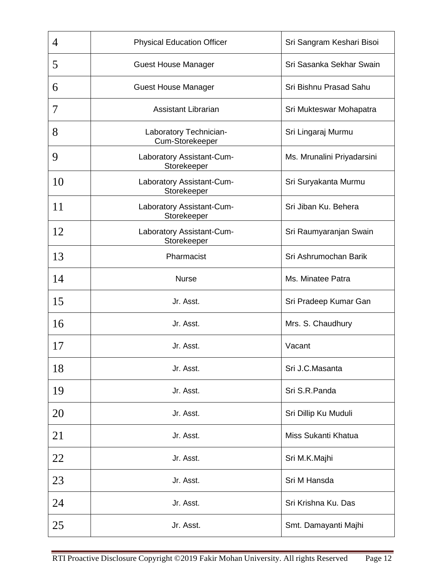| 4  | <b>Physical Education Officer</b>         | Sri Sangram Keshari Bisoi  |
|----|-------------------------------------------|----------------------------|
| 5  | <b>Guest House Manager</b>                | Sri Sasanka Sekhar Swain   |
| 6  | <b>Guest House Manager</b>                | Sri Bishnu Prasad Sahu     |
| 7  | <b>Assistant Librarian</b>                | Sri Mukteswar Mohapatra    |
| 8  | Laboratory Technician-<br>Cum-Storekeeper | Sri Lingaraj Murmu         |
| 9  | Laboratory Assistant-Cum-<br>Storekeeper  | Ms. Mrunalini Priyadarsini |
| 10 | Laboratory Assistant-Cum-<br>Storekeeper  | Sri Suryakanta Murmu       |
| 11 | Laboratory Assistant-Cum-<br>Storekeeper  | Sri Jiban Ku. Behera       |
| 12 | Laboratory Assistant-Cum-<br>Storekeeper  | Sri Raumyaranjan Swain     |
| 13 | Pharmacist                                | Sri Ashrumochan Barik      |
| 14 | <b>Nurse</b>                              | Ms. Minatee Patra          |
| 15 | Jr. Asst.                                 | Sri Pradeep Kumar Gan      |
| 16 | Jr. Asst.                                 | Mrs. S. Chaudhury          |
| 17 | Jr. Asst.                                 | Vacant                     |
| 18 | Jr. Asst.                                 | Sri J.C.Masanta            |
| 19 | Jr. Asst.                                 | Sri S.R.Panda              |
| 20 | Jr. Asst.                                 | Sri Dillip Ku Muduli       |
| 21 | Jr. Asst.                                 | Miss Sukanti Khatua        |
| 22 | Jr. Asst.                                 | Sri M.K.Majhi              |
| 23 | Jr. Asst.                                 | Sri M Hansda               |
| 24 | Jr. Asst.                                 | Sri Krishna Ku. Das        |
| 25 | Jr. Asst.                                 | Smt. Damayanti Majhi       |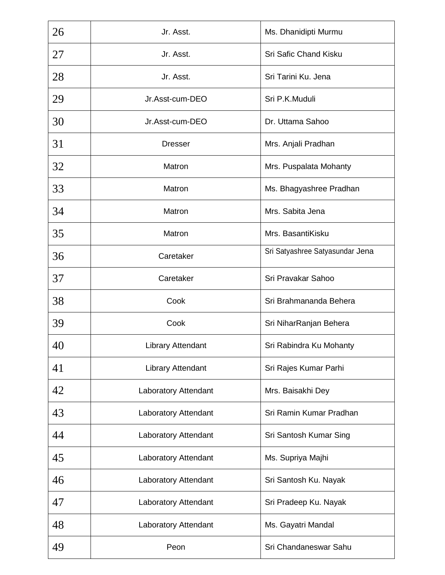| 26 | Jr. Asst.                   | Ms. Dhanidipti Murmu            |
|----|-----------------------------|---------------------------------|
| 27 | Jr. Asst.                   | Sri Safic Chand Kisku           |
| 28 | Jr. Asst.                   | Sri Tarini Ku. Jena             |
| 29 | Jr.Asst-cum-DEO             | Sri P.K.Muduli                  |
| 30 | Jr.Asst-cum-DEO             | Dr. Uttama Sahoo                |
| 31 | <b>Dresser</b>              | Mrs. Anjali Pradhan             |
| 32 | Matron                      | Mrs. Puspalata Mohanty          |
| 33 | Matron                      | Ms. Bhagyashree Pradhan         |
| 34 | Matron                      | Mrs. Sabita Jena                |
| 35 | Matron                      | Mrs. BasantiKisku               |
| 36 | Caretaker                   | Sri Satyashree Satyasundar Jena |
| 37 | Caretaker                   | Sri Pravakar Sahoo              |
| 38 | Cook                        | Sri Brahmananda Behera          |
| 39 | Cook                        | Sri NiharRanjan Behera          |
| 40 | <b>Library Attendant</b>    | Sri Rabindra Ku Mohanty         |
| 41 | <b>Library Attendant</b>    | Sri Rajes Kumar Parhi           |
| 42 | <b>Laboratory Attendant</b> | Mrs. Baisakhi Dey               |
| 43 | <b>Laboratory Attendant</b> | Sri Ramin Kumar Pradhan         |
| 44 | <b>Laboratory Attendant</b> | Sri Santosh Kumar Sing          |
| 45 | <b>Laboratory Attendant</b> | Ms. Supriya Majhi               |
| 46 | <b>Laboratory Attendant</b> | Sri Santosh Ku. Nayak           |
| 47 | Laboratory Attendant        | Sri Pradeep Ku. Nayak           |
| 48 | <b>Laboratory Attendant</b> | Ms. Gayatri Mandal              |
| 49 | Peon                        | Sri Chandaneswar Sahu           |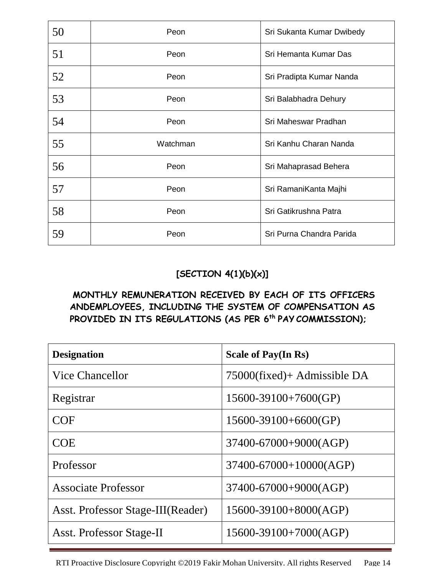| 50 | Peon     | Sri Sukanta Kumar Dwibedy |
|----|----------|---------------------------|
| 51 | Peon     | Sri Hemanta Kumar Das     |
| 52 | Peon     | Sri Pradipta Kumar Nanda  |
| 53 | Peon     | Sri Balabhadra Dehury     |
| 54 | Peon     | Sri Maheswar Pradhan      |
| 55 | Watchman | Sri Kanhu Charan Nanda    |
| 56 | Peon     | Sri Mahaprasad Behera     |
| 57 | Peon     | Sri RamaniKanta Majhi     |
| 58 | Peon     | Sri Gatikrushna Patra     |
| 59 | Peon     | Sri Purna Chandra Parida  |

# **[SECTION 4(1)(b)(x)]**

### **MONTHLY REMUNERATION RECEIVED BY EACH OF ITS OFFICERS ANDEMPLOYEES, INCLUDING THE SYSTEM OF COMPENSATION AS PROVIDED IN ITS REGULATIONS (AS PER 6th PAY COMMISSION);**

| <b>Designation</b>                | <b>Scale of Pay(In Rs)</b>   |
|-----------------------------------|------------------------------|
| Vice Chancellor                   | 75000(fixed)+ Admissible DA  |
| Registrar                         | $15600 - 39100 + 7600(GP)$   |
| <b>COF</b>                        | $15600 - 39100 + 6600(GP)$   |
| <b>COE</b>                        | 37400-67000+9000(AGP)        |
| Professor                         | $37400 - 67000 + 10000(AGP)$ |
| <b>Associate Professor</b>        | 37400-67000+9000(AGP)        |
| Asst. Professor Stage-III(Reader) | 15600-39100+8000(AGP)        |
| <b>Asst. Professor Stage-II</b>   | $15600-39100+7000(AGP)$      |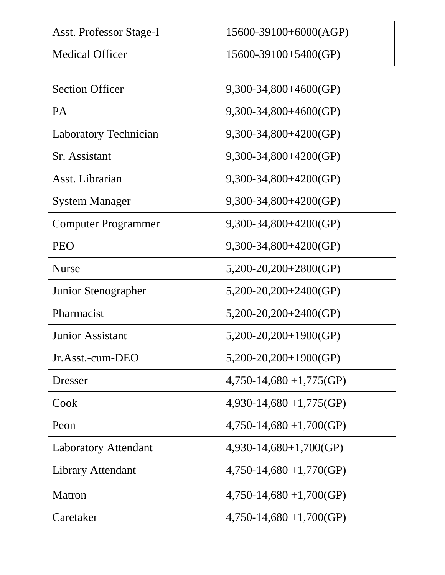| <b>Asst. Professor Stage-I</b> | $15600-39100+6000(AGP)$ |
|--------------------------------|-------------------------|
| <b>Medical Officer</b>         | $15600-39100+5400(GP)$  |

| <b>Section Officer</b>       | $9,300-34,800+4600(GP)$   |  |  |
|------------------------------|---------------------------|--|--|
| PA                           | $9,300-34,800+4600(GP)$   |  |  |
| <b>Laboratory Technician</b> | $9,300-34,800+4200(GP)$   |  |  |
| Sr. Assistant                | 9,300-34,800+4200(GP)     |  |  |
| Asst. Librarian              | $9,300-34,800+4200(GP)$   |  |  |
| <b>System Manager</b>        | $9,300-34,800+4200(GP)$   |  |  |
| <b>Computer Programmer</b>   | $9,300-34,800+4200(GP)$   |  |  |
| <b>PEO</b>                   | $9,300-34,800+4200(GP)$   |  |  |
| <b>Nurse</b>                 | $5,200-20,200+2800$ (GP)  |  |  |
| Junior Stenographer          | $5,200-20,200+2400(GP)$   |  |  |
| Pharmacist                   | $5,200-20,200+2400(GP)$   |  |  |
| <b>Junior Assistant</b>      | $5,200-20,200+1900(GP)$   |  |  |
| Jr.Asst.-cum-DEO             | $5,200-20,200+1900(GP)$   |  |  |
| Dresser                      | $4,750-14,680+1,775$ (GP) |  |  |
| Cook                         | $4,930-14,680+1,775$ (GP) |  |  |
| Peon                         | $4,750-14,680+1,700(GP)$  |  |  |
| <b>Laboratory Attendant</b>  | $4,930-14,680+1,700(GP)$  |  |  |
| <b>Library Attendant</b>     | $4,750-14,680+1,770(GP)$  |  |  |
| Matron                       | $4,750-14,680+1,700(GP)$  |  |  |
| Caretaker                    | $4,750-14,680+1,700(GP)$  |  |  |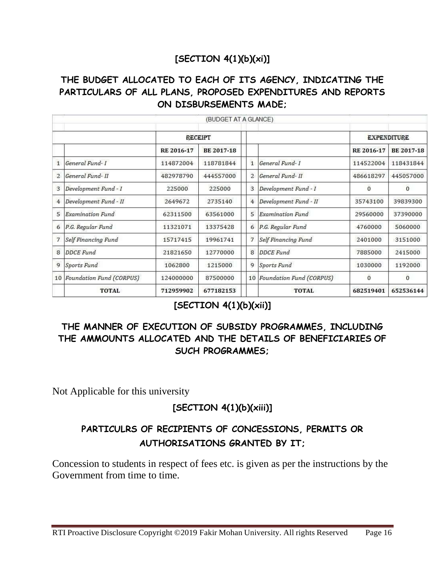### **[SECTION 4(1)(b)(xi)]**

### **THE BUDGET ALLOCATED TO EACH OF ITS AGENCY, INDICATING THE PARTICULARS OF ALL PLANS, PROPOSED EXPENDITURES AND REPORTS ON DISBURSEMENTS MADE;**

|                |                             |            | (BUDGET AT A GLANCE) |                |                             |                    |              |
|----------------|-----------------------------|------------|----------------------|----------------|-----------------------------|--------------------|--------------|
|                |                             | RECEIPT    |                      |                |                             | <b>EXPENDITURE</b> |              |
|                |                             | RE 2016-17 | <b>BE 2017-18</b>    |                |                             | RE 2016-17         | BE 2017-18   |
| $\mathbf{1}$   | General Fund- I             | 114872004  | 118781844            | 1              | General Fund- I             | 114522004          | 118431844    |
| $\overline{2}$ | General Fund-II             | 482978790  | 444557000            | $\overline{2}$ | General Fund-II             | 486618297          | 445057000    |
| 3              | Development Fund - I        | 225000     | 225000               | 3              | Development Fund - I        | $\Omega$           | $\Omega$     |
| $\overline{4}$ | Development Fund - II       | 2649672    | 2735140              | 4              | Development Fund - II       | 35743100           | 39839300     |
| 5              | Examination Fund            | 62311500   | 63561000             | 5              | <b>Examination Fund</b>     | 29560000           | 37390000     |
| 6              | P.G. Regular Fund           | 11321071   | 13375428             |                | 6 P.G. Regular Fund         | 4760000            | 5060000      |
| $\overline{7}$ | Self Financing Fund         | 15717415   | 19961741             | $\overline{7}$ | Self Financing Fund         | 2401000            | 3151000      |
| 8              | <b>DDCE</b> Fund            | 21821650   | 12770000             | 8              | <b>DDCE</b> Fund            | 7885000            | 2415000      |
| 9              | Sports Fund                 | 1062800    | 1215000              | 9              | Sports Fund                 | 1030000            | 1192000      |
|                | 10 Foundation Fund (CORPUS) | 124000000  | 87500000             |                | 10 Foundation Fund (CORPUS) | 0                  | $\mathbf{0}$ |
|                | <b>TOTAL</b>                | 712959902  | 677182153            |                | <b>TOTAL</b>                | 682519401          | 652536144    |

### **[SECTION 4(1)(b)(xii)]**

### **THE MANNER OF EXECUTION OF SUBSIDY PROGRAMMES, INCLUDING THE AMMOUNTS ALLOCATED AND THE DETAILS OF BENEFICIARIES OF SUCH PROGRAMMES;**

Not Applicable for this university

### **[SECTION 4(1)(b)(xiii)]**

### **PARTICULRS OF RECIPIENTS OF CONCESSIONS, PERMITS OR AUTHORISATIONS GRANTED BY IT;**

Concession to students in respect of fees etc. is given as per the instructions by the Government from time to time.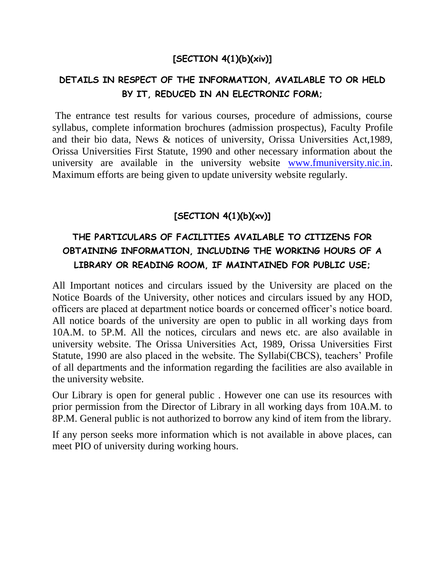### **[SECTION 4(1)(b)(xiv)]**

### **DETAILS IN RESPECT OF THE INFORMATION, AVAILABLE TO OR HELD BY IT, REDUCED IN AN ELECTRONIC FORM;**

The entrance test results for various courses, procedure of admissions, course syllabus, complete information brochures (admission prospectus), Faculty Profile and their bio data, News & notices of university, Orissa Universities Act,1989, Orissa Universities First Statute, 1990 and other necessary information about the university are available in the university website [www.fmuniversity.nic.in.](http://www.fmuniversity.nic.in/) Maximum efforts are being given to update university website regularly.

### **[SECTION 4(1)(b)(xv)]**

# **THE PARTICULARS OF FACILITIES AVAILABLE TO CITIZENS FOR OBTAINING INFORMATION, INCLUDING THE WORKING HOURS OF A LIBRARY OR READING ROOM, IF MAINTAINED FOR PUBLIC USE;**

All Important notices and circulars issued by the University are placed on the Notice Boards of the University, other notices and circulars issued by any HOD, officers are placed at department notice boards or concerned officer's notice board. All notice boards of the university are open to public in all working days from 10A.M. to 5P.M. All the notices, circulars and news etc. are also available in university website. The Orissa Universities Act, 1989, Orissa Universities First Statute, 1990 are also placed in the website. The Syllabi(CBCS), teachers' Profile of all departments and the information regarding the facilities are also available in the university website.

Our Library is open for general public . However one can use its resources with prior permission from the Director of Library in all working days from 10A.M. to 8P.M. General public is not authorized to borrow any kind of item from the library.

If any person seeks more information which is not available in above places, can meet PIO of university during working hours.